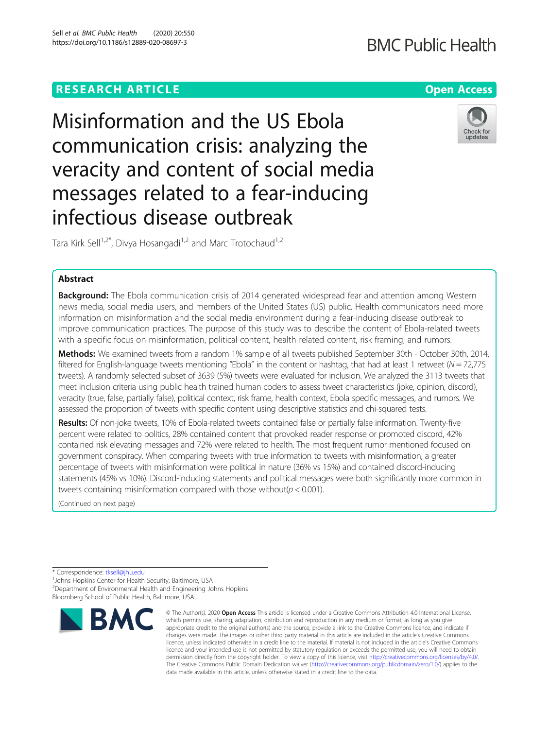## **RESEARCH ARTICLE Example 2014 12:30 The Contract of Contract ACCESS**

# **BMC Public Health**

Misinformation and the US Ebola communication crisis: analyzing the veracity and content of social media messages related to a fear-inducing infectious disease outbreak



Tara Kirk Sell<sup>1,2\*</sup>, Divya Hosangadi<sup>1,2</sup> and Marc Trotochaud<sup>1,2</sup>

### Abstract

**Background:** The Ebola communication crisis of 2014 generated widespread fear and attention among Western news media, social media users, and members of the United States (US) public. Health communicators need more information on misinformation and the social media environment during a fear-inducing disease outbreak to improve communication practices. The purpose of this study was to describe the content of Ebola-related tweets with a specific focus on misinformation, political content, health related content, risk framing, and rumors.

Methods: We examined tweets from a random 1% sample of all tweets published September 30th - October 30th, 2014, filtered for English-language tweets mentioning "Ebola" in the content or hashtag, that had at least 1 retweet ( $N = 72,775$ ) tweets). A randomly selected subset of 3639 (5%) tweets were evaluated for inclusion. We analyzed the 3113 tweets that meet inclusion criteria using public health trained human coders to assess tweet characteristics (joke, opinion, discord), veracity (true, false, partially false), political context, risk frame, health context, Ebola specific messages, and rumors. We assessed the proportion of tweets with specific content using descriptive statistics and chi-squared tests.

Results: Of non-joke tweets, 10% of Ebola-related tweets contained false or partially false information. Twenty-five percent were related to politics, 28% contained content that provoked reader response or promoted discord, 42% contained risk elevating messages and 72% were related to health. The most frequent rumor mentioned focused on government conspiracy. When comparing tweets with true information to tweets with misinformation, a greater percentage of tweets with misinformation were political in nature (36% vs 15%) and contained discord-inducing statements (45% vs 10%). Discord-inducing statements and political messages were both significantly more common in tweets containing misinformation compared with those without  $(p < 0.001)$ .

(Continued on next page)

\* Correspondence: [tksell@jhu.edu](mailto:tksell@jhu.edu) <sup>1</sup>

<sup>1</sup> Johns Hopkins Center for Health Security, Baltimore, USA <sup>2</sup> Department of Environmental Health and Engineering Johns Hopkins Bloomberg School of Public Health, Baltimore, USA



<sup>©</sup> The Author(s). 2020 Open Access This article is licensed under a Creative Commons Attribution 4.0 International License, which permits use, sharing, adaptation, distribution and reproduction in any medium or format, as long as you give appropriate credit to the original author(s) and the source, provide a link to the Creative Commons licence, and indicate if changes were made. The images or other third party material in this article are included in the article's Creative Commons licence, unless indicated otherwise in a credit line to the material. If material is not included in the article's Creative Commons licence and your intended use is not permitted by statutory regulation or exceeds the permitted use, you will need to obtain permission directly from the copyright holder. To view a copy of this licence, visit [http://creativecommons.org/licenses/by/4.0/.](http://creativecommons.org/licenses/by/4.0/) The Creative Commons Public Domain Dedication waiver [\(http://creativecommons.org/publicdomain/zero/1.0/](http://creativecommons.org/publicdomain/zero/1.0/)) applies to the data made available in this article, unless otherwise stated in a credit line to the data.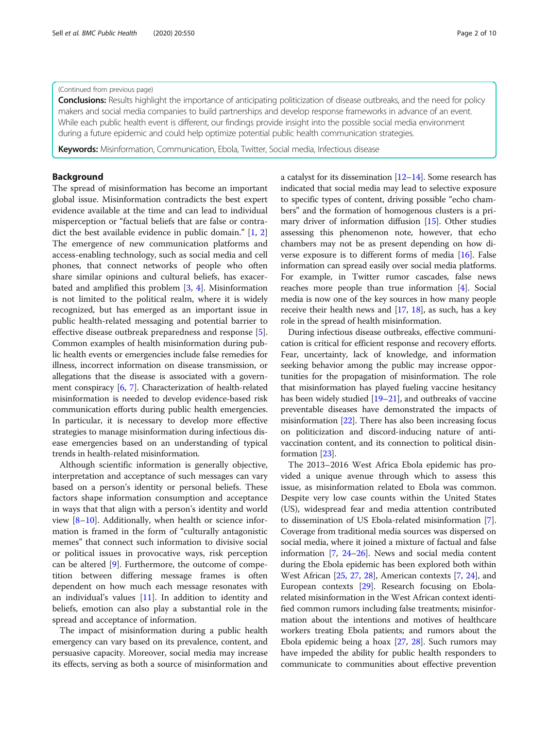#### (Continued from previous page)

Conclusions: Results highlight the importance of anticipating politicization of disease outbreaks, and the need for policy makers and social media companies to build partnerships and develop response frameworks in advance of an event. While each public health event is different, our findings provide insight into the possible social media environment during a future epidemic and could help optimize potential public health communication strategies.

Keywords: Misinformation, Communication, Ebola, Twitter, Social media, Infectious disease

#### Background

The spread of misinformation has become an important global issue. Misinformation contradicts the best expert evidence available at the time and can lead to individual misperception or "factual beliefs that are false or contradict the best available evidence in public domain." [[1,](#page-8-0) [2](#page-8-0)] The emergence of new communication platforms and access-enabling technology, such as social media and cell phones, that connect networks of people who often share similar opinions and cultural beliefs, has exacerbated and amplified this problem [\[3](#page-8-0), [4\]](#page-8-0). Misinformation is not limited to the political realm, where it is widely recognized, but has emerged as an important issue in public health-related messaging and potential barrier to effective disease outbreak preparedness and response [\[5](#page-8-0)]. Common examples of health misinformation during public health events or emergencies include false remedies for illness, incorrect information on disease transmission, or allegations that the disease is associated with a government conspiracy [\[6,](#page-8-0) [7](#page-8-0)]. Characterization of health-related misinformation is needed to develop evidence-based risk communication efforts during public health emergencies. In particular, it is necessary to develop more effective strategies to manage misinformation during infectious disease emergencies based on an understanding of typical trends in health-related misinformation.

Although scientific information is generally objective, interpretation and acceptance of such messages can vary based on a person's identity or personal beliefs. These factors shape information consumption and acceptance in ways that that align with a person's identity and world view [[8](#page-8-0)–[10\]](#page-8-0). Additionally, when health or science information is framed in the form of "culturally antagonistic memes" that connect such information to divisive social or political issues in provocative ways, risk perception can be altered [[9\]](#page-8-0). Furthermore, the outcome of competition between differing message frames is often dependent on how much each message resonates with an individual's values [[11\]](#page-9-0). In addition to identity and beliefs, emotion can also play a substantial role in the spread and acceptance of information.

The impact of misinformation during a public health emergency can vary based on its prevalence, content, and persuasive capacity. Moreover, social media may increase its effects, serving as both a source of misinformation and a catalyst for its dissemination [\[12](#page-9-0)–[14](#page-9-0)]. Some research has indicated that social media may lead to selective exposure to specific types of content, driving possible "echo chambers" and the formation of homogenous clusters is a primary driver of information diffusion [[15](#page-9-0)]. Other studies assessing this phenomenon note, however, that echo chambers may not be as present depending on how diverse exposure is to different forms of media [[16](#page-9-0)]. False information can spread easily over social media platforms. For example, in Twitter rumor cascades, false news reaches more people than true information [[4](#page-8-0)]. Social media is now one of the key sources in how many people receive their health news and [\[17,](#page-9-0) [18](#page-9-0)], as such, has a key role in the spread of health misinformation.

During infectious disease outbreaks, effective communication is critical for efficient response and recovery efforts. Fear, uncertainty, lack of knowledge, and information seeking behavior among the public may increase opportunities for the propagation of misinformation. The role that misinformation has played fueling vaccine hesitancy has been widely studied [[19](#page-9-0)–[21\]](#page-9-0), and outbreaks of vaccine preventable diseases have demonstrated the impacts of misinformation [[22](#page-9-0)]. There has also been increasing focus on politicization and discord-inducing nature of antivaccination content, and its connection to political disinformation [\[23\]](#page-9-0).

The 2013–2016 West Africa Ebola epidemic has provided a unique avenue through which to assess this issue, as misinformation related to Ebola was common. Despite very low case counts within the United States (US), widespread fear and media attention contributed to dissemination of US Ebola-related misinformation [[7](#page-8-0)]. Coverage from traditional media sources was dispersed on social media, where it joined a mixture of factual and false information [[7,](#page-8-0) [24](#page-9-0)–[26](#page-9-0)]. News and social media content during the Ebola epidemic has been explored both within West African [\[25,](#page-9-0) [27,](#page-9-0) [28\]](#page-9-0), American contexts [\[7](#page-8-0), [24](#page-9-0)], and European contexts [[29](#page-9-0)]. Research focusing on Ebolarelated misinformation in the West African context identified common rumors including false treatments; misinformation about the intentions and motives of healthcare workers treating Ebola patients; and rumors about the Ebola epidemic being a hoax [\[27,](#page-9-0) [28](#page-9-0)]. Such rumors may have impeded the ability for public health responders to communicate to communities about effective prevention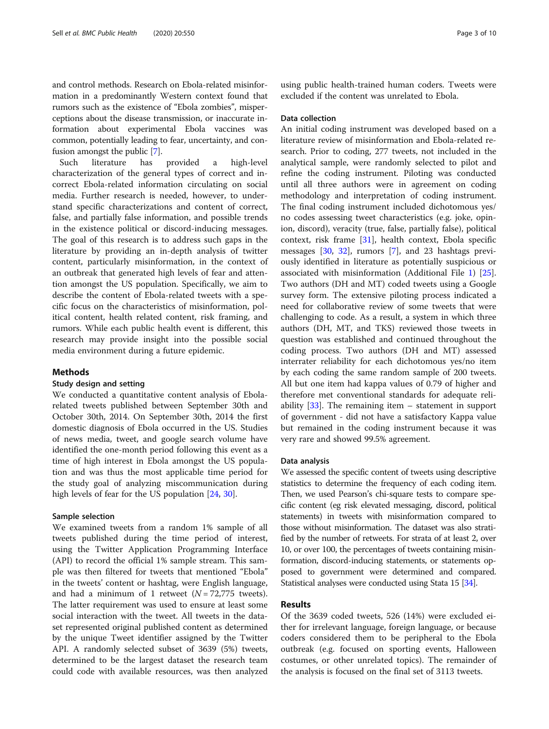and control methods. Research on Ebola-related misinformation in a predominantly Western context found that rumors such as the existence of "Ebola zombies", misperceptions about the disease transmission, or inaccurate information about experimental Ebola vaccines was common, potentially leading to fear, uncertainty, and confusion amongst the public [\[7](#page-8-0)].

Such literature has provided a high-level characterization of the general types of correct and incorrect Ebola-related information circulating on social media. Further research is needed, however, to understand specific characterizations and content of correct, false, and partially false information, and possible trends in the existence political or discord-inducing messages. The goal of this research is to address such gaps in the literature by providing an in-depth analysis of twitter content, particularly misinformation, in the context of an outbreak that generated high levels of fear and attention amongst the US population. Specifically, we aim to describe the content of Ebola-related tweets with a specific focus on the characteristics of misinformation, political content, health related content, risk framing, and rumors. While each public health event is different, this research may provide insight into the possible social media environment during a future epidemic.

#### Methods

#### Study design and setting

We conducted a quantitative content analysis of Ebolarelated tweets published between September 30th and October 30th, 2014. On September 30th, 2014 the first domestic diagnosis of Ebola occurred in the US. Studies of news media, tweet, and google search volume have identified the one-month period following this event as a time of high interest in Ebola amongst the US population and was thus the most applicable time period for the study goal of analyzing miscommunication during high levels of fear for the US population [[24](#page-9-0), [30](#page-9-0)].

#### Sample selection

We examined tweets from a random 1% sample of all tweets published during the time period of interest, using the Twitter Application Programming Interface (API) to record the official 1% sample stream. This sample was then filtered for tweets that mentioned "Ebola" in the tweets' content or hashtag, were English language, and had a minimum of 1 retweet  $(N = 72,775$  tweets). The latter requirement was used to ensure at least some social interaction with the tweet. All tweets in the dataset represented original published content as determined by the unique Tweet identifier assigned by the Twitter API. A randomly selected subset of 3639 (5%) tweets, determined to be the largest dataset the research team could code with available resources, was then analyzed

using public health-trained human coders. Tweets were excluded if the content was unrelated to Ebola.

#### Data collection

An initial coding instrument was developed based on a literature review of misinformation and Ebola-related research. Prior to coding, 277 tweets, not included in the analytical sample, were randomly selected to pilot and refine the coding instrument. Piloting was conducted until all three authors were in agreement on coding methodology and interpretation of coding instrument. The final coding instrument included dichotomous yes/ no codes assessing tweet characteristics (e.g. joke, opinion, discord), veracity (true, false, partially false), political context, risk frame  $[31]$  $[31]$ , health context, Ebola specific messages [\[30](#page-9-0), [32\]](#page-9-0), rumors [\[7\]](#page-8-0), and 23 hashtags previously identified in literature as potentially suspicious or associated with misinformation (Additional File [1](#page-8-0)) [\[25](#page-9-0)]. Two authors (DH and MT) coded tweets using a Google survey form. The extensive piloting process indicated a need for collaborative review of some tweets that were challenging to code. As a result, a system in which three authors (DH, MT, and TKS) reviewed those tweets in question was established and continued throughout the coding process. Two authors (DH and MT) assessed interrater reliability for each dichotomous yes/no item by each coding the same random sample of 200 tweets. All but one item had kappa values of 0.79 of higher and therefore met conventional standards for adequate reliability  $[33]$  $[33]$ . The remaining item – statement in support of government - did not have a satisfactory Kappa value but remained in the coding instrument because it was very rare and showed 99.5% agreement.

#### Data analysis

We assessed the specific content of tweets using descriptive statistics to determine the frequency of each coding item. Then, we used Pearson's chi-square tests to compare specific content (eg risk elevated messaging, discord, political statements) in tweets with misinformation compared to those without misinformation. The dataset was also stratified by the number of retweets. For strata of at least 2, over 10, or over 100, the percentages of tweets containing misinformation, discord-inducing statements, or statements opposed to government were determined and compared. Statistical analyses were conducted using Stata 15 [\[34](#page-9-0)].

#### Results

Of the 3639 coded tweets, 526 (14%) were excluded either for irrelevant language, foreign language, or because coders considered them to be peripheral to the Ebola outbreak (e.g. focused on sporting events, Halloween costumes, or other unrelated topics). The remainder of the analysis is focused on the final set of 3113 tweets.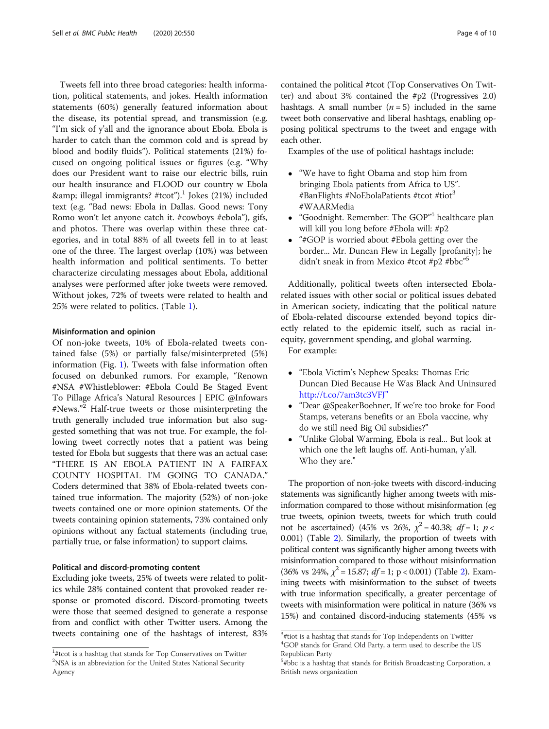Tweets fell into three broad categories: health information, political statements, and jokes. Health information statements (60%) generally featured information about the disease, its potential spread, and transmission (e.g. "I'm sick of y'all and the ignorance about Ebola. Ebola is harder to catch than the common cold and is spread by blood and bodily fluids"). Political statements (21%) focused on ongoing political issues or figures (e.g. "Why does our President want to raise our electric bills, ruin our health insurance and FLOOD our country w Ebola & amp; illegal immigrants? #tcot").<sup>1</sup> Jokes (21%) included text (e.g. "Bad news: Ebola in Dallas. Good news: Tony Romo won't let anyone catch it. #cowboys #ebola"), gifs, and photos. There was overlap within these three categories, and in total 88% of all tweets fell in to at least one of the three. The largest overlap (10%) was between health information and political sentiments. To better characterize circulating messages about Ebola, additional analyses were performed after joke tweets were removed. Without jokes, 72% of tweets were related to health and 25% were related to politics. (Table [1](#page-4-0)).

#### Misinformation and opinion

Of non-joke tweets, 10% of Ebola-related tweets contained false (5%) or partially false/misinterpreted (5%) information (Fig. [1](#page-5-0)). Tweets with false information often focused on debunked rumors. For example, "Renown #NSA #Whistleblower: #Ebola Could Be Staged Event To Pillage Africa's Natural Resources | EPIC @Infowars #News."<sup>2</sup> Half-true tweets or those misinterpreting the truth generally included true information but also suggested something that was not true. For example, the following tweet correctly notes that a patient was being tested for Ebola but suggests that there was an actual case: "THERE IS AN EBOLA PATIENT IN A FAIRFAX COUNTY HOSPITAL I'M GOING TO CANADA." Coders determined that 38% of Ebola-related tweets contained true information. The majority (52%) of non-joke tweets contained one or more opinion statements. Of the tweets containing opinion statements, 73% contained only opinions without any factual statements (including true, partially true, or false information) to support claims.

#### Political and discord-promoting content

Excluding joke tweets, 25% of tweets were related to politics while 28% contained content that provoked reader response or promoted discord. Discord-promoting tweets were those that seemed designed to generate a response from and conflict with other Twitter users. Among the tweets containing one of the hashtags of interest, 83% contained the political #tcot (Top Conservatives On Twitter) and about 3% contained the #p2 (Progressives 2.0) hashtags. A small number  $(n = 5)$  included in the same tweet both conservative and liberal hashtags, enabling opposing political spectrums to the tweet and engage with each other.

Examples of the use of political hashtags include:

- "We have to fight Obama and stop him from bringing Ebola patients from Africa to US". #BanFlights #NoEbolaPatients #tcot #tiot<sup>3</sup> #WAARMedia
- "Goodnight. Remember: The GOP" <sup>4</sup> healthcare plan will kill you long before #Ebola will: #p2
- "#GOP is worried about #Ebola getting over the border... Mr. Duncan Flew in Legally [profanity]; he didn't sneak in from Mexico #tcot #p2 #bbc" 5

Additionally, political tweets often intersected Ebolarelated issues with other social or political issues debated in American society, indicating that the political nature of Ebola-related discourse extended beyond topics directly related to the epidemic itself, such as racial inequity, government spending, and global warming. For example:

- "Ebola Victim's Nephew Speaks: Thomas Eric Duncan Died Because He Was Black And Uninsured <http://t.co/7am3tc3VFJ>"
- "Dear @SpeakerBoehner, If we're too broke for Food Stamps, veterans benefits or an Ebola vaccine, why do we still need Big Oil subsidies?"
- "Unlike Global Warming, Ebola is real... But look at which one the left laughs off. Anti-human, y'all. Who they are."

The proportion of non-joke tweets with discord-inducing statements was significantly higher among tweets with misinformation compared to those without misinformation (eg true tweets, opinion tweets, tweets for which truth could not be ascertained) (45% vs 26%,  $\chi^2$  = 40.38; *df* = 1; *p* < 0.001) (Table [2](#page-5-0)). Similarly, the proportion of tweets with political content was significantly higher among tweets with misinformation compared to those without misinformation (36% vs 24%,  $\chi^2$  = 15.87;  $df = 1$ ; p < 0.001) (Table [2\)](#page-5-0). Examining tweets with misinformation to the subset of tweets with true information specifically, a greater percentage of tweets with misinformation were political in nature (36% vs 15%) and contained discord-inducing statements (45% vs

<sup>&</sup>lt;sup>1</sup>#tcot is a hashtag that stands for Top Conservatives on Twitter <sup>2</sup>NSA is an abbreviation for the United States National Security Agency

<sup>&</sup>lt;sup>3</sup> #tiot is a hashtag that stands for Top Independents on Twitter 4 GOP stands for Grand Old Party, a term used to describe the US Republican Party

<sup>5</sup> #bbc is a hashtag that stands for British Broadcasting Corporation, a British news organization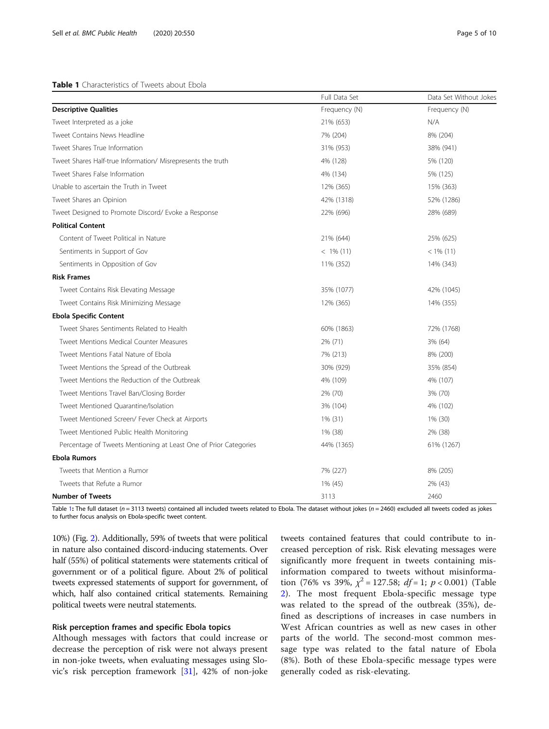#### <span id="page-4-0"></span>Table 1 Characteristics of Tweets about Ebola

|                                                                  | Full Data Set | Data Set Without Jokes |  |
|------------------------------------------------------------------|---------------|------------------------|--|
| <b>Descriptive Qualities</b>                                     | Frequency (N) | Frequency (N)          |  |
| Tweet Interpreted as a joke                                      | 21% (653)     | N/A                    |  |
| Tweet Contains News Headline                                     | 7% (204)      | 8% (204)               |  |
| Tweet Shares True Information                                    | 31% (953)     | 38% (941)              |  |
| Tweet Shares Half-true Information/ Misrepresents the truth      | 4% (128)      | 5% (120)               |  |
| Tweet Shares False Information                                   | 4% (134)      | 5% (125)               |  |
| Unable to ascertain the Truth in Tweet                           | 12% (365)     | 15% (363)              |  |
| Tweet Shares an Opinion                                          | 42% (1318)    | 52% (1286)             |  |
| Tweet Designed to Promote Discord/ Evoke a Response              | 22% (696)     | 28% (689)              |  |
| <b>Political Content</b>                                         |               |                        |  |
| Content of Tweet Political in Nature                             | 21% (644)     | 25% (625)              |  |
| Sentiments in Support of Gov                                     | $<$ 1% (11)   | $< 1\%$ (11)           |  |
| Sentiments in Opposition of Gov                                  | 11% (352)     | 14% (343)              |  |
| <b>Risk Frames</b>                                               |               |                        |  |
| Tweet Contains Risk Elevating Message                            | 35% (1077)    | 42% (1045)             |  |
| Tweet Contains Risk Minimizing Message                           | 12% (365)     | 14% (355)              |  |
| <b>Ebola Specific Content</b>                                    |               |                        |  |
| Tweet Shares Sentiments Related to Health                        | 60% (1863)    | 72% (1768)             |  |
| Tweet Mentions Medical Counter Measures                          | 2% (71)       | 3% (64)                |  |
| Tweet Mentions Fatal Nature of Ebola                             | 7% (213)      | 8% (200)               |  |
| Tweet Mentions the Spread of the Outbreak                        | 30% (929)     | 35% (854)              |  |
| Tweet Mentions the Reduction of the Outbreak                     | 4% (109)      | 4% (107)               |  |
| Tweet Mentions Travel Ban/Closing Border                         | 2% (70)       | 3% (70)                |  |
| Tweet Mentioned Ouarantine/Isolation                             | 3% (104)      | 4% (102)               |  |
| Tweet Mentioned Screen/ Fever Check at Airports                  | 1% (31)       | 1% (30)                |  |
| Tweet Mentioned Public Health Monitoring                         | 1% (38)       | 2% (38)                |  |
| Percentage of Tweets Mentioning at Least One of Prior Categories | 44% (1365)    | 61% (1267)             |  |
| <b>Ebola Rumors</b>                                              |               |                        |  |
| Tweets that Mention a Rumor                                      | 7% (227)      | 8% (205)               |  |
| Tweets that Refute a Rumor                                       | 1% (45)       | 2% (43)                |  |
| <b>Number of Tweets</b>                                          | 3113          | 2460                   |  |

Table 1: The full dataset ( $n = 3113$  tweets) contained all included tweets related to Ebola. The dataset without jokes ( $n = 2460$ ) excluded all tweets coded as jokes to further focus analysis on Ebola-specific tweet content.

10%) (Fig. [2\)](#page-6-0). Additionally, 59% of tweets that were political in nature also contained discord-inducing statements. Over half (55%) of political statements were statements critical of government or of a political figure. About 2% of political tweets expressed statements of support for government, of which, half also contained critical statements. Remaining political tweets were neutral statements.

#### Risk perception frames and specific Ebola topics

Although messages with factors that could increase or decrease the perception of risk were not always present in non-joke tweets, when evaluating messages using Slovic's risk perception framework [\[31](#page-9-0)], 42% of non-joke

tweets contained features that could contribute to increased perception of risk. Risk elevating messages were significantly more frequent in tweets containing misinformation compared to tweets without misinformation (76% vs 39%,  $\chi^2$  = 127.58; *df* = 1; *p* < 0.001) (Table [2\)](#page-5-0). The most frequent Ebola-specific message type was related to the spread of the outbreak (35%), defined as descriptions of increases in case numbers in West African countries as well as new cases in other parts of the world. The second-most common message type was related to the fatal nature of Ebola (8%). Both of these Ebola-specific message types were generally coded as risk-elevating.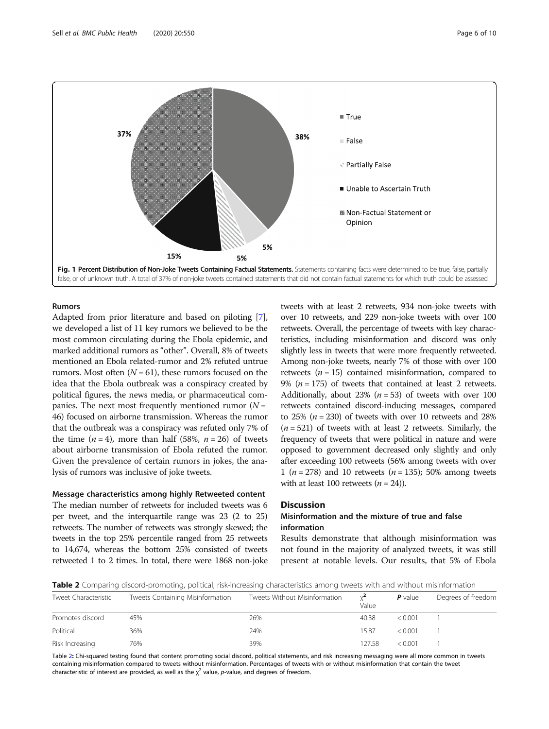<span id="page-5-0"></span>

#### Rumors

Adapted from prior literature and based on piloting [[7](#page-8-0)], we developed a list of 11 key rumors we believed to be the most common circulating during the Ebola epidemic, and marked additional rumors as "other". Overall, 8% of tweets mentioned an Ebola related-rumor and 2% refuted untrue rumors. Most often  $(N = 61)$ , these rumors focused on the idea that the Ebola outbreak was a conspiracy created by political figures, the news media, or pharmaceutical companies. The next most frequently mentioned rumor  $(N =$ 46) focused on airborne transmission. Whereas the rumor that the outbreak was a conspiracy was refuted only 7% of the time  $(n = 4)$ , more than half (58%,  $n = 26$ ) of tweets about airborne transmission of Ebola refuted the rumor. Given the prevalence of certain rumors in jokes, the analysis of rumors was inclusive of joke tweets.

#### Message characteristics among highly Retweeted content

The median number of retweets for included tweets was 6 per tweet, and the interquartile range was 23 (2 to 25) retweets. The number of retweets was strongly skewed; the tweets in the top 25% percentile ranged from 25 retweets to 14,674, whereas the bottom 25% consisted of tweets retweeted 1 to 2 times. In total, there were 1868 non-joke

tweets with at least 2 retweets, 934 non-joke tweets with over 10 retweets, and 229 non-joke tweets with over 100 retweets. Overall, the percentage of tweets with key characteristics, including misinformation and discord was only slightly less in tweets that were more frequently retweeted. Among non-joke tweets, nearly 7% of those with over 100 retweets  $(n = 15)$  contained misinformation, compared to 9% ( $n = 175$ ) of tweets that contained at least 2 retweets. Additionally, about 23% ( $n = 53$ ) of tweets with over 100 retweets contained discord-inducing messages, compared to  $25\%$  ( $n = 230$ ) of tweets with over 10 retweets and  $28\%$  $(n = 521)$  of tweets with at least 2 retweets. Similarly, the frequency of tweets that were political in nature and were opposed to government decreased only slightly and only after exceeding 100 retweets (56% among tweets with over 1 ( $n = 278$ ) and 10 retweets ( $n = 135$ ); 50% among tweets with at least 100 retweets  $(n = 24)$ ).

#### **Discussion**

#### Misinformation and the mixture of true and false information

Results demonstrate that although misinformation was not found in the majority of analyzed tweets, it was still present at notable levels. Our results, that 5% of Ebola

Table 2 Comparing discord-promoting, political, risk-increasing characteristics among tweets with and without misinformation

| Tweet Characteristic | Tweets Containing Misinformation | Tweets Without Misinformation | $\sqrt{2}$<br>Value | $P$ value | Degrees of freedom |
|----------------------|----------------------------------|-------------------------------|---------------------|-----------|--------------------|
| Promotes discord     | 45%                              | 26%                           | 40.38               | < 0.001   |                    |
| Political            | 36%                              | 24%                           | 15.87               | < 0.001   |                    |
| Risk Increasing      | 76%                              | 39%                           | 127.58              | < 0.001   |                    |

Table 2: Chi-squared testing found that content promoting social discord, political statements, and risk increasing messaging were all more common in tweets containing misinformation compared to tweets without misinformation. Percentages of tweets with or without misinformation that contain the tweet characteristic of interest are provided, as well as the  $\chi^2$  value, p-value, and degrees of freedom.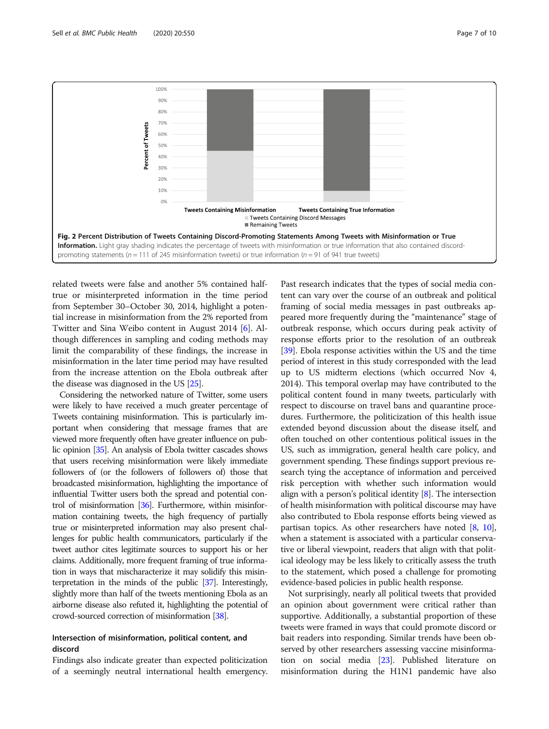<span id="page-6-0"></span>

related tweets were false and another 5% contained halftrue or misinterpreted information in the time period from September 30–October 30, 2014, highlight a potential increase in misinformation from the 2% reported from Twitter and Sina Weibo content in August 2014 [\[6\]](#page-8-0). Although differences in sampling and coding methods may limit the comparability of these findings, the increase in misinformation in the later time period may have resulted from the increase attention on the Ebola outbreak after the disease was diagnosed in the US [\[25\]](#page-9-0).

Considering the networked nature of Twitter, some users were likely to have received a much greater percentage of Tweets containing misinformation. This is particularly important when considering that message frames that are viewed more frequently often have greater influence on public opinion [\[35](#page-9-0)]. An analysis of Ebola twitter cascades shows that users receiving misinformation were likely immediate followers of (or the followers of followers of) those that broadcasted misinformation, highlighting the importance of influential Twitter users both the spread and potential control of misinformation [[36\]](#page-9-0). Furthermore, within misinformation containing tweets, the high frequency of partially true or misinterpreted information may also present challenges for public health communicators, particularly if the tweet author cites legitimate sources to support his or her claims. Additionally, more frequent framing of true information in ways that mischaracterize it may solidify this misinterpretation in the minds of the public [\[37\]](#page-9-0). Interestingly, slightly more than half of the tweets mentioning Ebola as an airborne disease also refuted it, highlighting the potential of crowd-sourced correction of misinformation [[38\]](#page-9-0).

#### Intersection of misinformation, political content, and discord

Findings also indicate greater than expected politicization of a seemingly neutral international health emergency.

Past research indicates that the types of social media content can vary over the course of an outbreak and political framing of social media messages in past outbreaks appeared more frequently during the "maintenance" stage of outbreak response, which occurs during peak activity of response efforts prior to the resolution of an outbreak [[39](#page-9-0)]. Ebola response activities within the US and the time period of interest in this study corresponded with the lead up to US midterm elections (which occurred Nov 4, 2014). This temporal overlap may have contributed to the political content found in many tweets, particularly with respect to discourse on travel bans and quarantine procedures. Furthermore, the politicization of this health issue extended beyond discussion about the disease itself, and often touched on other contentious political issues in the US, such as immigration, general health care policy, and government spending. These findings support previous research tying the acceptance of information and perceived risk perception with whether such information would align with a person's political identity [\[8\]](#page-8-0). The intersection of health misinformation with political discourse may have also contributed to Ebola response efforts being viewed as partisan topics. As other researchers have noted [[8](#page-8-0), [10](#page-8-0)], when a statement is associated with a particular conservative or liberal viewpoint, readers that align with that political ideology may be less likely to critically assess the truth to the statement, which posed a challenge for promoting evidence-based policies in public health response.

Not surprisingly, nearly all political tweets that provided an opinion about government were critical rather than supportive. Additionally, a substantial proportion of these tweets were framed in ways that could promote discord or bait readers into responding. Similar trends have been observed by other researchers assessing vaccine misinformation on social media [\[23](#page-9-0)]. Published literature on misinformation during the H1N1 pandemic have also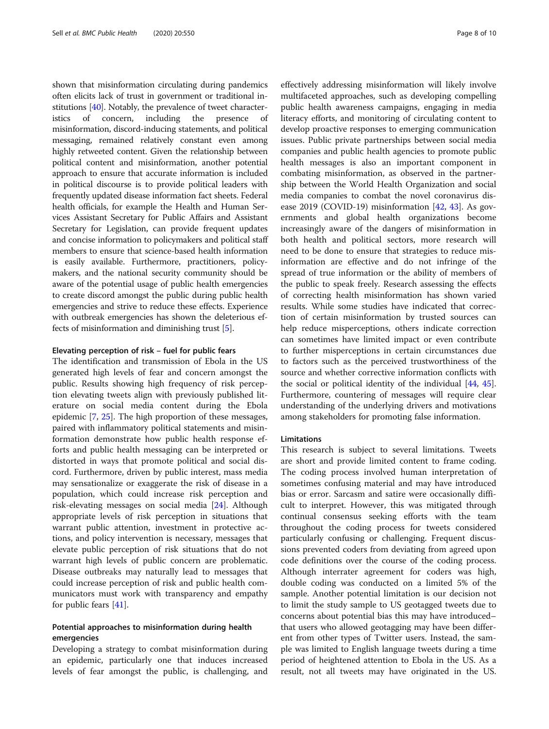shown that misinformation circulating during pandemics often elicits lack of trust in government or traditional institutions [[40](#page-9-0)]. Notably, the prevalence of tweet characteristics of concern, including the presence of misinformation, discord-inducing statements, and political messaging, remained relatively constant even among highly retweeted content. Given the relationship between political content and misinformation, another potential approach to ensure that accurate information is included in political discourse is to provide political leaders with frequently updated disease information fact sheets. Federal health officials, for example the Health and Human Services Assistant Secretary for Public Affairs and Assistant Secretary for Legislation, can provide frequent updates and concise information to policymakers and political staff members to ensure that science-based health information is easily available. Furthermore, practitioners, policymakers, and the national security community should be aware of the potential usage of public health emergencies to create discord amongst the public during public health emergencies and strive to reduce these effects. Experience with outbreak emergencies has shown the deleterious effects of misinformation and diminishing trust [\[5\]](#page-8-0).

#### Elevating perception of risk – fuel for public fears

The identification and transmission of Ebola in the US generated high levels of fear and concern amongst the public. Results showing high frequency of risk perception elevating tweets align with previously published literature on social media content during the Ebola epidemic [[7,](#page-8-0) [25\]](#page-9-0). The high proportion of these messages, paired with inflammatory political statements and misinformation demonstrate how public health response efforts and public health messaging can be interpreted or distorted in ways that promote political and social discord. Furthermore, driven by public interest, mass media may sensationalize or exaggerate the risk of disease in a population, which could increase risk perception and risk-elevating messages on social media [\[24](#page-9-0)]. Although appropriate levels of risk perception in situations that warrant public attention, investment in protective actions, and policy intervention is necessary, messages that elevate public perception of risk situations that do not warrant high levels of public concern are problematic. Disease outbreaks may naturally lead to messages that could increase perception of risk and public health communicators must work with transparency and empathy for public fears [[41](#page-9-0)].

#### Potential approaches to misinformation during health emergencies

Developing a strategy to combat misinformation during an epidemic, particularly one that induces increased levels of fear amongst the public, is challenging, and

effectively addressing misinformation will likely involve multifaceted approaches, such as developing compelling public health awareness campaigns, engaging in media literacy efforts, and monitoring of circulating content to develop proactive responses to emerging communication issues. Public private partnerships between social media companies and public health agencies to promote public health messages is also an important component in combating misinformation, as observed in the partnership between the World Health Organization and social media companies to combat the novel coronavirus disease 2019 (COVID-19) misinformation [[42](#page-9-0), [43\]](#page-9-0). As governments and global health organizations become increasingly aware of the dangers of misinformation in both health and political sectors, more research will need to be done to ensure that strategies to reduce misinformation are effective and do not infringe of the spread of true information or the ability of members of the public to speak freely. Research assessing the effects of correcting health misinformation has shown varied results. While some studies have indicated that correction of certain misinformation by trusted sources can help reduce misperceptions, others indicate correction can sometimes have limited impact or even contribute to further misperceptions in certain circumstances due to factors such as the perceived trustworthiness of the source and whether corrective information conflicts with the social or political identity of the individual [[44](#page-9-0), [45](#page-9-0)]. Furthermore, countering of messages will require clear understanding of the underlying drivers and motivations among stakeholders for promoting false information.

#### Limitations

This research is subject to several limitations. Tweets are short and provide limited content to frame coding. The coding process involved human interpretation of sometimes confusing material and may have introduced bias or error. Sarcasm and satire were occasionally difficult to interpret. However, this was mitigated through continual consensus seeking efforts with the team throughout the coding process for tweets considered particularly confusing or challenging. Frequent discussions prevented coders from deviating from agreed upon code definitions over the course of the coding process. Although interrater agreement for coders was high, double coding was conducted on a limited 5% of the sample. Another potential limitation is our decision not to limit the study sample to US geotagged tweets due to concerns about potential bias this may have introduced– that users who allowed geotagging may have been different from other types of Twitter users. Instead, the sample was limited to English language tweets during a time period of heightened attention to Ebola in the US. As a result, not all tweets may have originated in the US.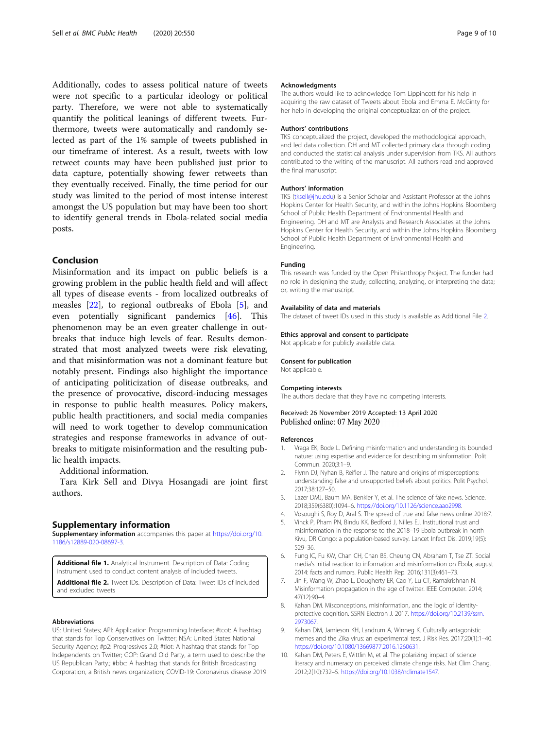<span id="page-8-0"></span>Additionally, codes to assess political nature of tweets were not specific to a particular ideology or political party. Therefore, we were not able to systematically quantify the political leanings of different tweets. Furthermore, tweets were automatically and randomly selected as part of the 1% sample of tweets published in our timeframe of interest. As a result, tweets with low retweet counts may have been published just prior to data capture, potentially showing fewer retweets than they eventually received. Finally, the time period for our study was limited to the period of most intense interest amongst the US population but may have been too short to identify general trends in Ebola-related social media posts.

### Conclusion

Misinformation and its impact on public beliefs is a growing problem in the public health field and will affect all types of disease events - from localized outbreaks of measles [[22\]](#page-9-0), to regional outbreaks of Ebola [5], and even potentially significant pandemics [\[46\]](#page-9-0). This phenomenon may be an even greater challenge in outbreaks that induce high levels of fear. Results demonstrated that most analyzed tweets were risk elevating, and that misinformation was not a dominant feature but notably present. Findings also highlight the importance of anticipating politicization of disease outbreaks, and the presence of provocative, discord-inducing messages in response to public health measures. Policy makers, public health practitioners, and social media companies will need to work together to develop communication strategies and response frameworks in advance of outbreaks to mitigate misinformation and the resulting public health impacts.

Additional information.

Tara Kirk Sell and Divya Hosangadi are joint first authors.

#### Supplementary information

Supplementary information accompanies this paper at [https://doi.org/10.](https://doi.org/10.1186/s12889-020-08697-3) [1186/s12889-020-08697-3](https://doi.org/10.1186/s12889-020-08697-3).

Additional file 1. Analytical Instrument. Description of Data: Coding instrument used to conduct content analysis of included tweets.

Additional file 2. Tweet IDs. Description of Data: Tweet IDs of included and excluded tweets

#### Abbreviations

US: United States; API: Application Programming Interface; #tcot: A hashtag that stands for Top Conservatives on Twitter; NSA: United States National Security Agency; #p2: Progressives 2.0; #tiot: A hashtag that stands for Top Independents on Twitter; GOP: Grand Old Party, a term used to describe the US Republican Party.; #bbc: A hashtag that stands for British Broadcasting Corporation, a British news organization; COVID-19: Coronavirus disease 2019

#### Acknowledgments

The authors would like to acknowledge Tom Lippincott for his help in acquiring the raw dataset of Tweets about Ebola and Emma E. McGinty for her help in developing the original conceptualization of the project.

#### Authors' contributions

TKS conceptualized the project, developed the methodological approach, and led data collection. DH and MT collected primary data through coding and conducted the statistical analysis under supervision from TKS. All authors contributed to the writing of the manuscript. All authors read and approved the final manuscript.

#### Authors' information

TKS [\(tksell@jhu.edu\)](mailto:tksell@jhu.edu) is a Senior Scholar and Assistant Professor at the Johns Hopkins Center for Health Security, and within the Johns Hopkins Bloomberg School of Public Health Department of Environmental Health and Engineering. DH and MT are Analysts and Research Associates at the Johns Hopkins Center for Health Security, and within the Johns Hopkins Bloomberg School of Public Health Department of Environmental Health and Engineering.

#### Funding

This research was funded by the Open Philanthropy Project. The funder had no role in designing the study; collecting, analyzing, or interpreting the data; or, writing the manuscript.

#### Availability of data and materials

The dataset of tweet IDs used in this study is available as Additional File 2.

#### Ethics approval and consent to participate Not applicable for publicly available data.

#### Consent for publication

Not applicable.

#### Competing interests

The authors declare that they have no competing interests.

Received: 26 November 2019 Accepted: 13 April 2020 Published online: 07 May 2020

#### References

- 1. Vraga EK, Bode L. Defining misinformation and understanding its bounded nature: using expertise and evidence for describing misinformation. Polit Commun. 2020;3:1–9.
- 2. Flynn DJ, Nyhan B, Reifler J. The nature and origins of misperceptions: understanding false and unsupported beliefs about politics. Polit Psychol. 2017;38:127–50.
- 3. Lazer DMJ, Baum MA, Benkler Y, et al. The science of fake news. Science. 2018;359(6380):1094–6. <https://doi.org/10.1126/science.aao2998>.
- 4. Vosoughi S, Roy D, Aral S. The spread of true and false news online 2018:7.
- Vinck P, Pham PN, Bindu KK, Bedford J, Nilles EJ. Institutional trust and misinformation in the response to the 2018–19 Ebola outbreak in north Kivu, DR Congo: a population-based survey. Lancet Infect Dis. 2019;19(5): 529–36.
- 6. Fung IC, Fu KW, Chan CH, Chan BS, Cheung CN, Abraham T, Tse ZT. Social media's initial reaction to information and misinformation on Ebola, august 2014: facts and rumors. Public Health Rep. 2016;131(3):461–73.
- 7. Jin F, Wang W, Zhao L, Dougherty ER, Cao Y, Lu CT, Ramakrishnan N. Misinformation propagation in the age of twitter. IEEE Computer. 2014; 47(12):90–4.
- 8. Kahan DM. Misconceptions, misinformation, and the logic of identityprotective cognition. SSRN Electron J. 2017. [https://doi.org/10.2139/ssrn.](https://doi.org/10.2139/ssrn.2973067) [2973067.](https://doi.org/10.2139/ssrn.2973067)
- 9. Kahan DM, Jamieson KH, Landrum A, Winneg K. Culturally antagonistic memes and the Zika virus: an experimental test. J Risk Res. 2017;20(1):1–40. <https://doi.org/10.1080/13669877.2016.1260631>.
- 10. Kahan DM, Peters E, Wittlin M, et al. The polarizing impact of science literacy and numeracy on perceived climate change risks. Nat Clim Chang. 2012;2(10):732–5. <https://doi.org/10.1038/nclimate1547>.